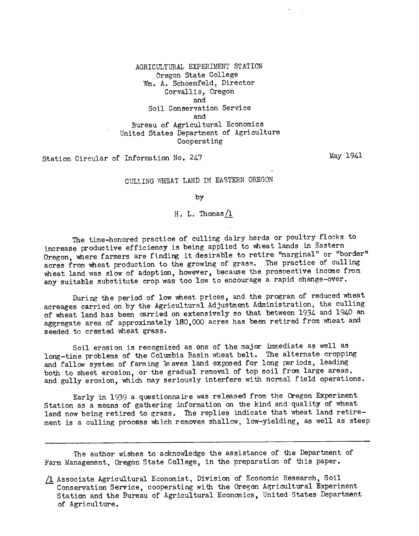AGRICULTURAL EXPERIMENT STATION Oregon State College Wm. A. Schoenfeld, Director Corvallis, Oregon and Soil Conservation Service and Bureau of Agricultural Economics United States Department of Agriculture Cooperating

Station Circular of Information No. 247

May 1941

### CULLING WHEAT LAND IN EASTERN OREGON

by

### H. L. Thomas  $\sqrt{1}$

The time-honored practice of culling dairy herds or poultry flocks to increase productive efficiency is being applied to wheat lands in Eastern Oregon, where farmers are finding it desirable to retire "marginal" or "border" acres from wheat production to the growing of grass. The practice of culling wheat land was slow of adoption, however, because the prospective income from any suitable substitute crop was too low to encourage a rapid change-over.

During the period of low wheat prices, and the program of reduced wheat acreages carried on by the Agricultural Adjustment Administration, the culling of wheat land has been carried on extensively so that between 1934 and 1940 an aggregate area of approximately 180,000 acres has been retired from wheat and seeded to crested wheat grass.

Soil erosion is recognized as one of the major immediate as well as long-time problems of the Columbia Basin wheat belt. The alternate cropping and fallow system of farming leaves land exposed for long periods, leading both to sheet erosion, or the gradual removal of top soil from large areas, and gully erosion, which may seriously interfere with normal field operations.

Early in 1939 a questionnaire was released from the Oregon Experiment Station as a means of gathering information on the kind and quality of wheat land now being retired to grass. The replies indicate that wheat land retirement is a culling process which removes shallow, low-yielding, as well as steep

The author wishes to acknowledge the assistance of the Department of Farm Management, Oregon State College, in the preparation of this paper.

Associate Agricultural Economist, Division of Economic Research, Soil Conservation Service, cooperating with the Oregon Agricultural Experiment Station and the Bureau of Agricultural Economics, United States Department of Agriculture.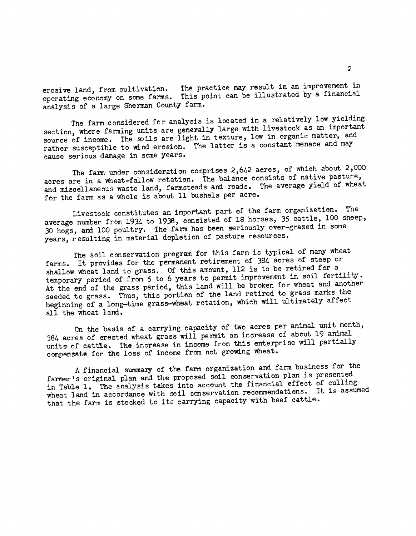erosive land, from cultivation. The practice may result in an improvement in operating economy on some farms. This point can be illustrated by a financial analysis of a large Sherman County farm.

The farm considered for analysis is located in a relatively low yielding section, where farming units are generally large with livestock as an important source of income. The soils are light in texture, low in organic matter, and rather susceptible to wind erosion. The latter is a constant menace and may cause serious damage in some years.

The farm under consideration comprises 2,642 acres, of which about 2,000 acres are in a wheat-fallow rotation. The balance consists of native pasture, and miscellaneous waste land, farmsteads and roads. The average yield of wheat for the farm as a whole is about 11 bushels per acre.

Livestock constitutes an important part of the farm organization. The average number from 1934 to 1938, consisted of 18 horses, 35 cattle, 100 sheep, 30 hogs, and 100 poultry. The farm has been seriously over-grazed in some years, resulting in material depletion of pasture resources.

The soil conservation program for this farm is typical of many wheat farms. It provides for the permanent retirement of 384 acres of steep or shallow wheat land to grass. Of this amount, 112 is to be retired for a temporary period of from 5 to 6 years to permit improvement in soil fertility. At the end of the grass period, this land will be broken for wheat and another seeded to grass. Thus, this portion of the land retired to grass marks the beginning of a long-time grass-wheat rotation, which will ultimately affect all the wheat land.

On the basis of a carrying capacity of two acres per animal unit month, 384 acres of crested wheat grass will permit an increase of about 19 animal units of cattle. The increase in income from this enterprise will partially compensate for the loss of income from not growing wheat.

A financial summary of the farm organization and farm business for the farmer's original plan and the proposed soil conservation plan is presented in Table 1. The analysis takes into account the financial effect of culling wheat land in accordance with soil conservation recommendations. It is assumed that the farm is stocked to its carrying capacity with beef cattle.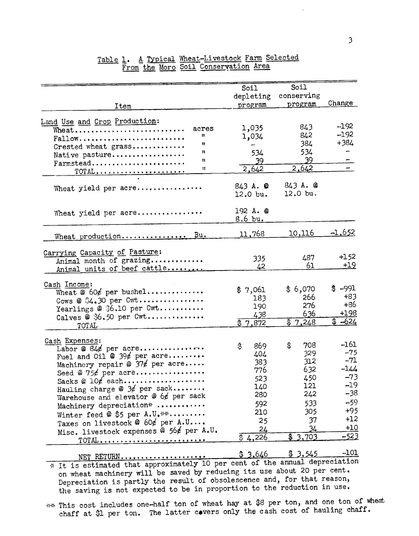|                                                 | Soil<br>depleting             | Soil<br>conserving  |               |
|-------------------------------------------------|-------------------------------|---------------------|---------------|
| Item                                            | program                       | program             | Change        |
|                                                 |                               |                     |               |
| Land Use and Crop Production:<br>acres<br>Wheat | 1,035                         | 843                 | $-192$        |
| Ħ<br>Fallow                                     | 1,034                         | 842                 | $-192$        |
| Ħ<br>Crested wheat grass                        |                               | 384                 | $+384$        |
| n<br>Native pasture                             | 534                           | 534                 |               |
| Ħ<br>Farmstead                                  | 39                            | 39.                 |               |
| Ħ<br><u>TOTAL</u>                               | 2,642                         | 2,642               |               |
|                                                 |                               |                     |               |
| Wheat yield per acre                            |                               | $843A.$ $@$         |               |
|                                                 | $12.0$ bu.                    | 12.0 bu.            |               |
|                                                 |                               |                     |               |
| Wheat yield per acre                            | 192 A. @<br>$8.6 \text{ bu.}$ |                     |               |
|                                                 |                               |                     |               |
| Wheat production Bu.                            | <u>11,768 </u>                | 10,116              | <u>-1,652</u> |
|                                                 |                               |                     |               |
| Carrying Capacity of Pasture:                   |                               |                     |               |
| Animal month of grazing                         | 335                           | 487                 | $+152$        |
| Animal units of beef cattle                     | 42                            | 61                  | $+19$         |
|                                                 |                               |                     |               |
| Cash Income:                                    | \$7,061                       | \$6,070             | $$ -991$      |
| Wheat @ 60¢ per bushel                          | 183                           | 266                 | $+83$         |
| Cows @ \$4.30 per Cwt                           | 190                           | 276                 | +86           |
| Yearlings @ \$6.10 per Cwt                      |                               | 636                 | $+198$        |
| Calves $\circledast$ \$6.50 per Cwt             | 438<br>$\sqrt[3]{7,872}$      | $\sqrt[3]{3}$ , 248 | $$ -624$      |
| TOTAL                                           |                               |                     |               |
| Cash Expenses:                                  |                               |                     |               |
| Labor @ 84¢ per acre                            | \$<br>869                     | \$<br>708           | $-161$        |
| Fuel and Oil @ $396$ per acre                   | 404                           | 329                 | $-75$         |
| Machinery repair @ $37$ per acre                | 383                           | 312                 | $-71$         |
| Seed @ $75\cancel{e}$ per acre                  | 776                           | 632                 | $-144$        |
| Sacks @ $10\ell$ each                           | 523                           | 450                 | $-73$         |
| Hauling charge @ $3/$ per sack                  | 140                           | 121                 | $-19$         |
| Warehouse and elevator @ 6¢ per sack            | 280                           | 242                 | -38           |
| Machinery depreciation*                         | 592                           | 533                 | $-59$         |
|                                                 | 210                           | 305                 | $+95$         |
| Winter feed @ \$5 per A.U.**                    | 25                            | 37                  | $+12$         |
| Taxes on livestock @ 60¢ per A.U                | 24                            | 34                  | $+10$         |
| Misc. livestock expenses @ 56¢ per A.U.         | \$4,226                       | 3,703<br>\$         | <u>-523</u>   |
| TOTAL                                           |                               |                     |               |
|                                                 | \$3,646                       | \$3,545             | $-101$        |
| NET RETURN                                      |                               |                     |               |

## Table 1. A Typical Wheat-Livestock Farm Selected From the Moro Soil Conservation Area

\* It is estimated that approximately 10 per cent of the annual depreciation on wheat machinery will be saved by reducing its use about 20 per cent. Depreciation is partly the result of obsolescence and, for that reason, the saving is not expected to be in proportion to the reduction in use.

\*\* This cost includes one-half ton of wheat hay at \$8 per ton, and one ton of wheat chaff at \$1 per ton. The latter covers only the cash cost of hauling chaff.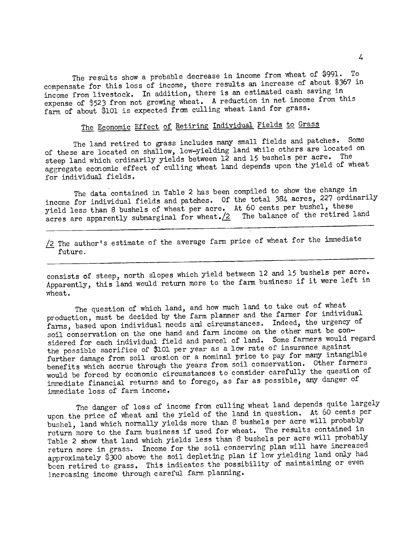The results show a probable decrease in income from wheat of \$991. To compensate for this loss of income, there results an increase of about \$367 in income from livestock. In addition, there is an estimated cash saving in expense of \$523 from not growing wheat. A reduction in net income from this farm of about \$101 is expected from culling wheat land for grass.

# The Economic Effect of Retiring Individual Fields to Grass

The land retired to grass includes many small fields and patches. Some of these are located on shallow, low-yielding land while others are located on steep land which ordinarily yields between 12 and 15 bushels per acre. The aggregate economic effect of culling wheat land depends upon the yield of wheat for individual fields.

The data contained in Table 2 has been compiled to show the change in income for individual fields and patches. Of the total 384 acres, 227 ordinarily yield less than 8 bushels of wheat per acre. At 60 cents per bushel, these acres are apparently submarginal for wheat. 2 The balance of the retired land

 $\sqrt{2}$  The author's estimate of the average farm price of wheat for the immediate future.

consists of steep, north slopes which yield between 12 and 15 bushels per acre. Apparently, this land would return more to the farm business if it were left in wheat.

The question of which land, and how much land to take out of wheat production, must be decided by the farm planner and the farmer for individual farms, based upon individual needs and circumstances. Indeed, the urgency of soil conservation on the one hand and farm income on the other must be considered for each individual field and parcel of land. Some farmers would regard the possible sacrifice of \$101 per year as a low rate of insurance against further damage from soil erosion or a nominal price to pay for many intangible benefits which accrue through the years from soil conservation. Other farmers would be forced by economic circumstances to consider carefully the question of immediate financial returns and to forego, as far as possible, any danger of immediate loss of farm income.

The danger of loss of income from culling wheat land depends quite largely upon the price of wheat and the yield of the land in question. At 60 cents per bushel, land which normally yields more than 8 bushels per acre will probably return more to the farm business if used for wheat. The results contained in Table 2 show that land which yields less than 8 bushels per acre will probably return more in grass. Income for the soil conserving plan will have increased approximately \$300 above the soil depleting plan if low yielding land only had been retired to grass. This indicates the possibility of maintaining or even increasing income through careful farm planning.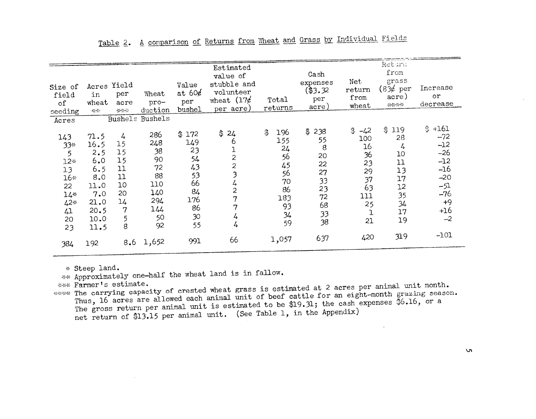|         |       |                |         |             | Estimated<br>value of   |           | Cash               |                    | Return<br>from      |                  |
|---------|-------|----------------|---------|-------------|-------------------------|-----------|--------------------|--------------------|---------------------|------------------|
| Size of |       | Acres Yield    |         | Value       | stubble and             |           | expenses           | Net<br>return      | grass<br>$(83¢$ per | Increase         |
| field   | in    | per            | Wheat   | at $60\ell$ | volunteer               |           | (\$3,32<br>per     | from               | acre)               | or               |
| of      | wheat | acre           | pro-    | per         | wheat $(17)$            | Total     | acre)              | wheat              | ****                | decrease         |
| seeding | **    | ***            | duction | bushel      | per acre)               | returns   |                    |                    |                     |                  |
| Acres   |       | <b>Bushels</b> | Bushels |             |                         |           |                    |                    |                     |                  |
| 143     | 71.5  | 4              | 286     | \$172       | \$<br>24                | \$<br>196 | \$238              | \$<br>$-42$<br>100 | \$119<br>28         | $$+161$<br>$-72$ |
| $33*$   | 16.5  | 15             | 248     | 149         | 6                       | 155       | 55<br>$\mathbf{8}$ | 16                 | 4                   | $-12$            |
| 5       | 2, 5  | 15             | 38      | 23          | ı                       | 24        | 20                 | 36                 | 10                  | $-26$            |
| $12*$   | 6.0   | 15             | 90      | 54          | $\overline{c}$          | 56        | 22                 | 23                 | 11                  | $-12$            |
| 13      | 6.5   | 11             | 72      | 43          | $\overline{c}$          | 45        | 27                 | 29                 | 13                  | $-16$            |
| $16*$   | 8.0   | 11             | 88      | 53          | $\overline{\mathbf{3}}$ | 56<br>70  | 33                 | 37                 | 17                  | $-20$            |
| 22      | 11.0  | 10             | 110     | 66          | 4                       | 86        | 23                 | 63                 | 12                  | $-51$            |
| $14*$   | 7.0   | 20             | 140     | 84          | $\overline{\mathbf{c}}$ | 183       | 72                 | 111                | 35                  | $-76$            |
| $42*$   | 21.0  | 14             | 294     | 176         | 7                       | 93        | 68                 | 25                 | 34                  | $+9$             |
| 41      | 20.5  | 7              | 144     | 86          | 7                       |           | 33                 | ı                  | 17                  | $+16$            |
| 20      | 10.0  | 5              | 50      | 30          | 4                       | 34<br>59  | 38                 | 21                 | 19                  | $-2$             |
| 23      | 11.5  | 8              | 92      | 55          | 4                       |           |                    |                    |                     |                  |
| 384     | 192   | 8,6            | 1,652   | 991         | 66                      | 1,057     | 637                | 420                | 319                 | $-101$           |

\* Steep land.<br>
\*\* Approximately one-half the wheat land is in fallow.<br>
\*\*\* Farmer's estimate.

\*\* Approximately one-half the wheat land is in fallow<br>\*\*\* Farmer's estimate.<br>\*\*\* The carrying capacity of crested wheat grass is es<br>Thus, 16 acres are allowed each animal unit of bee<br>The gross return per animal unit is est Thus, 16 acres are allowed each animal unit of beef cattle for an eight-month grazing season.<br>The gross return per animal unit is estimated to be \$19.31; the cash expenses \$6.16, or a<br>net return of \$13.15 per animal unit. Thus, 16 acres are allowed each animal unit of beef cattle for an eight-month grazing season. Thus, 16 acres are allowed each dimimal unit is estimated to be \$19.31; the cash expenses \$6.16, or a<br>The gross return of \$13.15 per animal unit. (See Table 1, in the Appendix)<br>net return of \$13.15 per animal unit. (See Ta net return of \$13.15 per animal unit. (See Table 1, in the Appendix)

 $\sqrt{2}$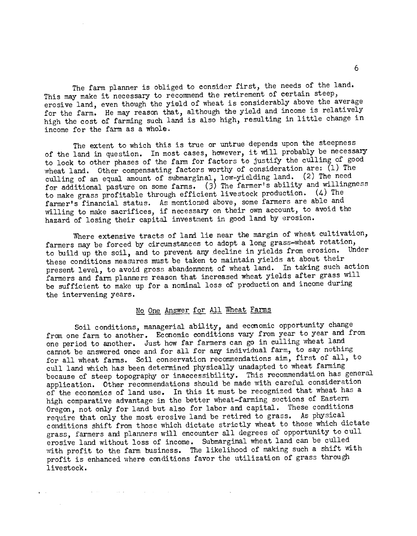The farm planner is obliged to consider first, the needs of the land. This may make it necessary to recommend the retirement of certain steep, erosive land, even though the yield of wheat is considerably above the average for the farm. He may reason that, although the yield and income is relatively high the cost of farming such land is also high, resulting in little change in income for the farm as a whole.

The extent to which this is true or untrue depends upon the steepness of the land in question. In most cases, however, it will probably be necessary to look to other phases of the farm for factors to justify the culling of good wheat land. Other compensating factors worthy of consideration are:  $(1)$  The culling of an equal amount of submarginal, low-yielding land. (2) The need for additional pasture on some farms. (3) The farmer's ability and willingness to make grass profitable through efficient livestock production. (4) The farmer's financial status. As mentioned above, some farmers are able and willing to make sacrifices, if necessary on their own account, to avoid the hazard of losing their capital investment in good land by erosion.

Where extensive tracts of land lie near the margin of wheat cultivation, farmers may be forced by circumstances to adopt a long grass-wheat rotation, to build up the soil, and to prevent any decline in yields from erosion. Under these conditions measures must be taken to maintain yields at about their present level, to avoid gross abandonment of wheat land. In taking such action farmers and farm planners reason that increased wheat yields after grass will be sufficient to make up for a nominal loss of production and income during the intervening years.

### No One Answer for All Wheat Farms

Soil conditions, managerial ability, and economic opportunity change from one farm to another. Economic conditions vary from year to year and from one period to another. Just how far farmers can go in culling wheat land cannot be answered once and for all for any individual farm, to say nothing for all wheat farms. Soil conservation recommendations aim, first of all, to cull land which has been determined physically unadapted to wheat farming because of steep topography or inaccessibility. This recommendation has general application. Other recommendations should be made with careful consideration of the economics of land use, In this it must be recognized that wheat has a high comparative advantage in the better wheat-farming sections of Eastern Oregon, not only for land but also for labor and capital. These conditions require that only the most erosive land be retired to grass. As physical conditions shift from those which dictate strictly wheat to those which dictate grass, farmers and planners will encounter all degrees of opportunity to cull erosive land without loss of income. Submarginal wheat land can be culled with profit to the farm business. The likelihood of making such a shift with profit is enhanced where conditions favor the utilization of grass through livestock.

 $\mathbf{a} = \mathbf{a} \times \mathbf{b}$ 

 $\mathcal{L}(\mathbf{A})$  and  $\mathcal{L}(\mathbf{A})$  are the following the space of the space  $\mathcal{L}(\mathbf{A})$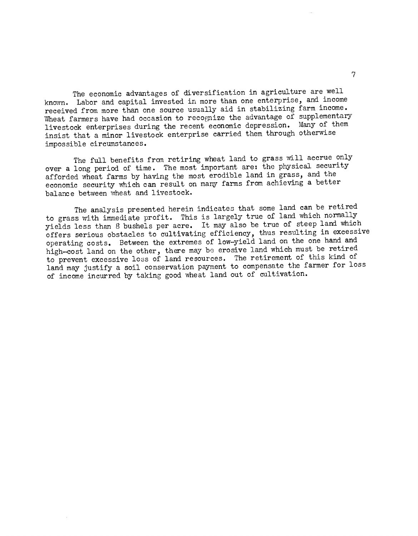The economic advantages of diversification in agriculture are well known. Labor and capital invested in more than one enterprise, and income received from more than one source usually aid in stabilizing farm income. Wheat farmers have had occasion to recognize the advantage of supplementary livestock enterprises during the recent economic depression. Many of them insist that a minor livestock enterprise carried them through otherwise impossible circumstances.

The full benefits from retiring wheat land to grass will accrue only over a long period of time. The most important are: the physical security afforded wheat farms by having the most erodible land in grass, and the economic security which can result on many farms from achieving a better balance between wheat and livestock.

The analysis presented herein indicates that some land can be retired to grass with immediate profit. This is largely true of land which normally yields less than 8 bushels per acre. It may also be true of steep land which offers serious obstacles to cultivating efficiency, thus resulting in excessive operating costs. Between the extremes of low-yield land on the one hand and high-cost land on the other, there may be erosive land which must be retired to prevent excessive loss of land resources. The retirement of this kind of land may justify a soil conservation payment to compensate the farmer for loss of income incurred by taking good wheat land out of cultivation.